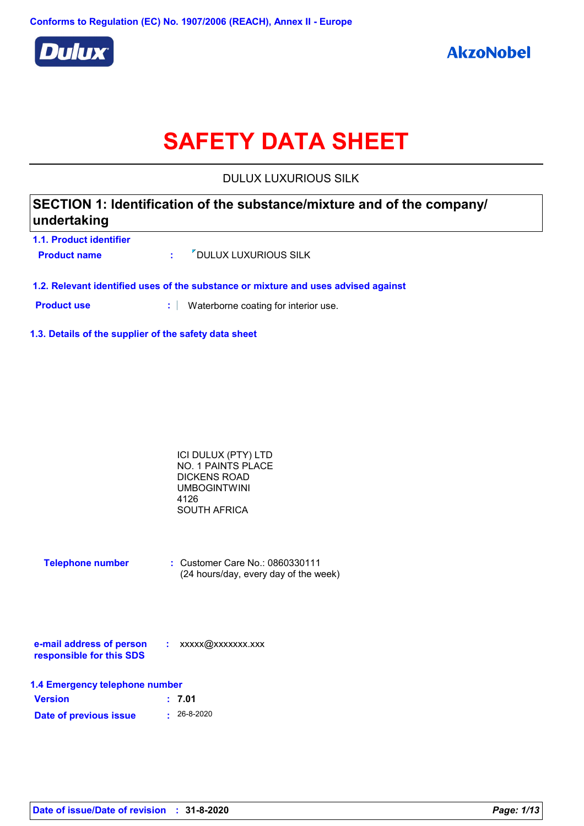

# **SAFETY DATA SHEET**

DULUX LUXURIOUS SILK

| SECTION 1: Identification of the substance/mixture and of the company/ |  |
|------------------------------------------------------------------------|--|
| undertaking                                                            |  |

| 1.1. Product identifier |                                      |
|-------------------------|--------------------------------------|
| <b>Product name</b>     | <b><i>V</i></b> DULUX LUXURIOUS SILK |

**1.2. Relevant identified uses of the substance or mixture and uses advised against**

**Product use <b>:** Waterborne coating for interior use.

**1.3. Details of the supplier of the safety data sheet**

| ICI DULUX (PTY) LTD |  |
|---------------------|--|
| NO. 1 PAINTS PLACE  |  |
| DICKENS ROAD        |  |
| UMBOGINTWINI        |  |
| 4126                |  |
| SOUTH AFRICA        |  |

| <b>Telephone number</b> | : Customer Care No.: 0860330111       |
|-------------------------|---------------------------------------|
|                         | (24 hours/day, every day of the week) |

| e-mail address of person | xxxxx@xxxxxxx.xxx |
|--------------------------|-------------------|
| responsible for this SDS |                   |

| 1.4 Emergency telephone number |                   |  |  |
|--------------------------------|-------------------|--|--|
| <b>Version</b>                 | : 7.01            |  |  |
| Date of previous issue         | $\cdot$ 26-8-2020 |  |  |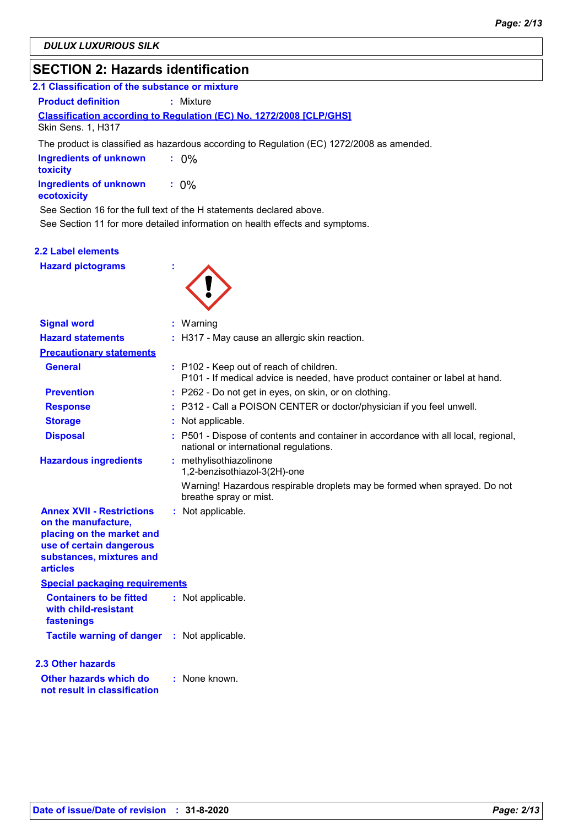# **SECTION 2: Hazards identification**

| 2.1 Classification of the substance or mixture |                                                                            |  |
|------------------------------------------------|----------------------------------------------------------------------------|--|
| <b>Product definition</b>                      | : Mixture                                                                  |  |
|                                                | <b>Classification according to Regulation (EC) No. 1272/2008 [CLP/GHS]</b> |  |
| <b>Skin Sens. 1, H317</b>                      |                                                                            |  |

The product is classified as hazardous according to Regulation (EC) 1272/2008 as amended.

| Ingredients of unknown<br>toxicity    | $: 0\%$ |
|---------------------------------------|---------|
| Ingredients of unknown<br>ecotoxicity | $: 0\%$ |

See Section 16 for the full text of the H statements declared above.

See Section 11 for more detailed information on health effects and symptoms.

#### **2.2 Label elements**

**Hazard pictograms :**



| <b>Signal word</b>                                                                                                                                              | $:$ Warning                                                                                                                |
|-----------------------------------------------------------------------------------------------------------------------------------------------------------------|----------------------------------------------------------------------------------------------------------------------------|
| <b>Hazard statements</b>                                                                                                                                        | : H317 - May cause an allergic skin reaction.                                                                              |
| <b>Precautionary statements</b>                                                                                                                                 |                                                                                                                            |
| <b>General</b>                                                                                                                                                  | : P102 - Keep out of reach of children.<br>P101 - If medical advice is needed, have product container or label at hand.    |
| <b>Prevention</b>                                                                                                                                               | : P262 - Do not get in eyes, on skin, or on clothing.                                                                      |
| <b>Response</b>                                                                                                                                                 | : P312 - Call a POISON CENTER or doctor/physician if you feel unwell.                                                      |
| <b>Storage</b>                                                                                                                                                  | Not applicable.                                                                                                            |
| <b>Disposal</b>                                                                                                                                                 | P501 - Dispose of contents and container in accordance with all local, regional,<br>national or international regulations. |
| <b>Hazardous ingredients</b>                                                                                                                                    | : methylisothiazolinone<br>1,2-benzisothiazol-3(2H)-one                                                                    |
|                                                                                                                                                                 | Warning! Hazardous respirable droplets may be formed when sprayed. Do not<br>breathe spray or mist.                        |
| <b>Annex XVII - Restrictions</b><br>on the manufacture,<br>placing on the market and<br>use of certain dangerous<br>substances, mixtures and<br><b>articles</b> | : Not applicable.                                                                                                          |
| <b>Special packaging requirements</b>                                                                                                                           |                                                                                                                            |
| <b>Containers to be fitted</b><br>with child-resistant<br>fastenings                                                                                            | : Not applicable.                                                                                                          |
| <b>Tactile warning of danger</b>                                                                                                                                | : Not applicable.                                                                                                          |
| <b>2.3 Other hazards</b>                                                                                                                                        |                                                                                                                            |
| Other hazards which do<br>not result in classification                                                                                                          | : None known.                                                                                                              |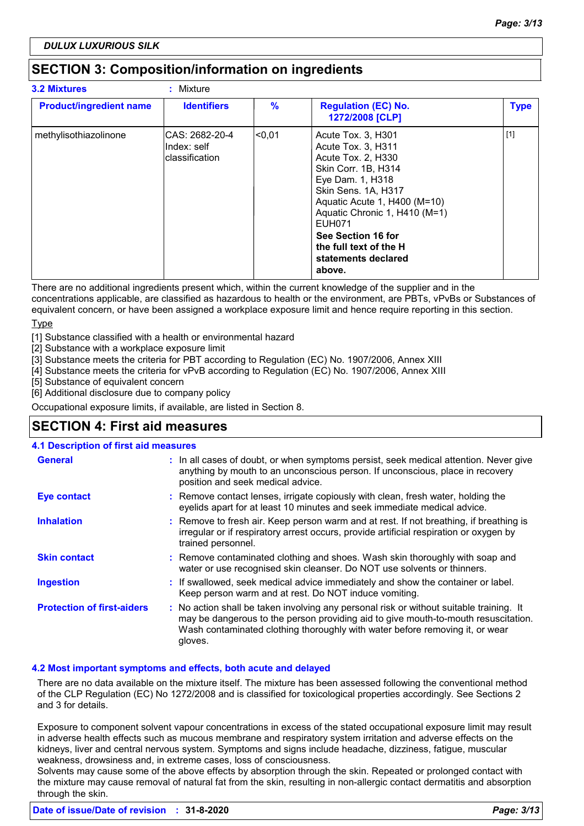# **SECTION 3: Composition/information on ingredients**

| <b>3.2 Mixtures</b>            | : Mixture                                         |                 |                                                                                                                                                                                                                                                                                                     |             |
|--------------------------------|---------------------------------------------------|-----------------|-----------------------------------------------------------------------------------------------------------------------------------------------------------------------------------------------------------------------------------------------------------------------------------------------------|-------------|
| <b>Product/ingredient name</b> | <b>Identifiers</b>                                | $\%$            | <b>Regulation (EC) No.</b><br>1272/2008 [CLP]                                                                                                                                                                                                                                                       | <b>Type</b> |
| methylisothiazolinone          | ICAS: 2682-20-4<br>Index: self<br>lclassification | <sub>0.01</sub> | Acute Tox. 3, H301<br>Acute Tox. 3, H311<br>Acute Tox. 2, H330<br>Skin Corr. 1B, H314<br>Eye Dam. 1, H318<br>Skin Sens. 1A, H317<br>Aquatic Acute 1, H400 (M=10)<br>Aquatic Chronic 1, H410 (M=1)<br><b>EUH071</b><br>See Section 16 for<br>the full text of the H<br>statements declared<br>above. | $[1]$       |

There are no additional ingredients present which, within the current knowledge of the supplier and in the concentrations applicable, are classified as hazardous to health or the environment, are PBTs, vPvBs or Substances of

equivalent concern, or have been assigned a workplace exposure limit and hence require reporting in this section. Type

[1] Substance classified with a health or environmental hazard

[2] Substance with a workplace exposure limit

[3] Substance meets the criteria for PBT according to Regulation (EC) No. 1907/2006, Annex XIII

[4] Substance meets the criteria for vPvB according to Regulation (EC) No. 1907/2006, Annex XIII

[5] Substance of equivalent concern

[6] Additional disclosure due to company policy

Occupational exposure limits, if available, are listed in Section 8.

### **SECTION 4: First aid measures**

#### **4.1 Description of first aid measures**

| <b>General</b>                    | : In all cases of doubt, or when symptoms persist, seek medical attention. Never give<br>anything by mouth to an unconscious person. If unconscious, place in recovery<br>position and seek medical advice.                                                              |  |
|-----------------------------------|--------------------------------------------------------------------------------------------------------------------------------------------------------------------------------------------------------------------------------------------------------------------------|--|
| <b>Eye contact</b>                | : Remove contact lenses, irrigate copiously with clean, fresh water, holding the<br>eyelids apart for at least 10 minutes and seek immediate medical advice.                                                                                                             |  |
| <b>Inhalation</b>                 | : Remove to fresh air. Keep person warm and at rest. If not breathing, if breathing is<br>irregular or if respiratory arrest occurs, provide artificial respiration or oxygen by<br>trained personnel.                                                                   |  |
| <b>Skin contact</b>               | : Remove contaminated clothing and shoes. Wash skin thoroughly with soap and<br>water or use recognised skin cleanser. Do NOT use solvents or thinners.                                                                                                                  |  |
| <b>Ingestion</b>                  | : If swallowed, seek medical advice immediately and show the container or label.<br>Keep person warm and at rest. Do NOT induce vomiting.                                                                                                                                |  |
| <b>Protection of first-aiders</b> | : No action shall be taken involving any personal risk or without suitable training. It<br>may be dangerous to the person providing aid to give mouth-to-mouth resuscitation.<br>Wash contaminated clothing thoroughly with water before removing it, or wear<br>gloves. |  |

#### **4.2 Most important symptoms and effects, both acute and delayed**

There are no data available on the mixture itself. The mixture has been assessed following the conventional method of the CLP Regulation (EC) No 1272/2008 and is classified for toxicological properties accordingly. See Sections 2 and 3 for details.

Exposure to component solvent vapour concentrations in excess of the stated occupational exposure limit may result in adverse health effects such as mucous membrane and respiratory system irritation and adverse effects on the kidneys, liver and central nervous system. Symptoms and signs include headache, dizziness, fatigue, muscular weakness, drowsiness and, in extreme cases, loss of consciousness.

Solvents may cause some of the above effects by absorption through the skin. Repeated or prolonged contact with the mixture may cause removal of natural fat from the skin, resulting in non-allergic contact dermatitis and absorption through the skin.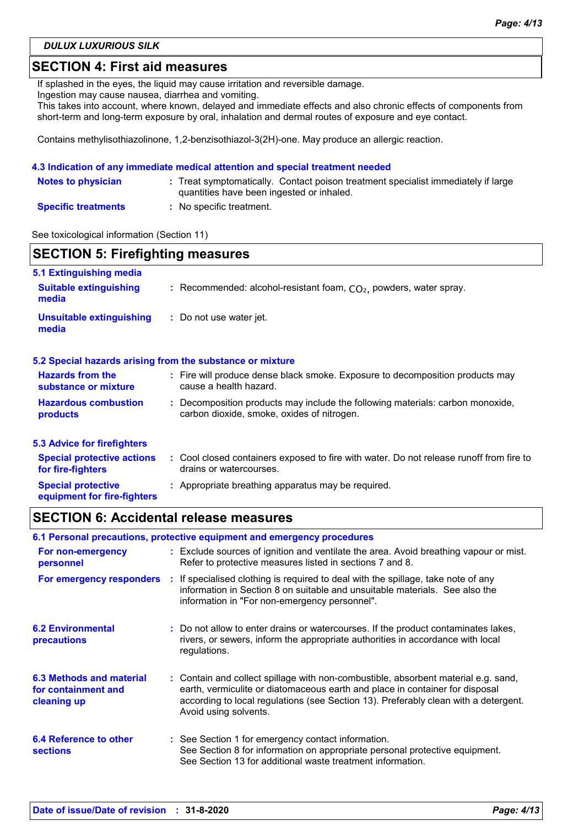*DULUX LUXURIOUS SILK*

### **SECTION 4: First aid measures**

If splashed in the eyes, the liquid may cause irritation and reversible damage.

Ingestion may cause nausea, diarrhea and vomiting.

This takes into account, where known, delayed and immediate effects and also chronic effects of components from short-term and long-term exposure by oral, inhalation and dermal routes of exposure and eye contact.

Contains methylisothiazolinone, 1,2-benzisothiazol-3(2H)-one. May produce an allergic reaction.

#### **4.3 Indication of any immediate medical attention and special treatment needed**

| <b>Notes to physician</b>  | : Treat symptomatically. Contact poison treatment specialist immediately if large<br>quantities have been ingested or inhaled. |
|----------------------------|--------------------------------------------------------------------------------------------------------------------------------|
| <b>Specific treatments</b> | No specific treatment.                                                                                                         |

See toxicological information (Section 11)

| <b>SECTION 5: Firefighting measures</b>                  |                                                                                                                            |  |
|----------------------------------------------------------|----------------------------------------------------------------------------------------------------------------------------|--|
| 5.1 Extinguishing media                                  |                                                                                                                            |  |
| <b>Suitable extinguishing</b><br>media                   | : Recommended: alcohol-resistant foam, $CO2$ , powders, water spray.                                                       |  |
| <b>Unsuitable extinguishing</b><br>media                 | : Do not use water jet.                                                                                                    |  |
|                                                          | 5.2 Special hazards arising from the substance or mixture                                                                  |  |
| <b>Hazards from the</b><br>substance or mixture          | : Fire will produce dense black smoke. Exposure to decomposition products may<br>cause a health hazard.                    |  |
| <b>Hazardous combustion</b><br>products                  | Decomposition products may include the following materials: carbon monoxide,<br>carbon dioxide, smoke, oxides of nitrogen. |  |
| <b>5.3 Advice for firefighters</b>                       |                                                                                                                            |  |
| <b>Special protective actions</b><br>for fire-fighters   | : Cool closed containers exposed to fire with water. Do not release runoff from fire to<br>drains or watercourses.         |  |
| <b>Special protective</b><br>equipment for fire-fighters | : Appropriate breathing apparatus may be required.                                                                         |  |

### **SECTION 6: Accidental release measures**

| 6.1 Personal precautions, protective equipment and emergency procedures |  |                                                                                                                                                                                                                                                                                    |  |
|-------------------------------------------------------------------------|--|------------------------------------------------------------------------------------------------------------------------------------------------------------------------------------------------------------------------------------------------------------------------------------|--|
| For non-emergency<br>personnel                                          |  | : Exclude sources of ignition and ventilate the area. Avoid breathing vapour or mist.<br>Refer to protective measures listed in sections 7 and 8.                                                                                                                                  |  |
| For emergency responders                                                |  | : If specialised clothing is required to deal with the spillage, take note of any<br>information in Section 8 on suitable and unsuitable materials. See also the<br>information in "For non-emergency personnel".                                                                  |  |
| <b>6.2 Environmental</b><br>precautions                                 |  | : Do not allow to enter drains or watercourses. If the product contaminates lakes,<br>rivers, or sewers, inform the appropriate authorities in accordance with local<br>regulations.                                                                                               |  |
| 6.3 Methods and material<br>for containment and<br>cleaning up          |  | : Contain and collect spillage with non-combustible, absorbent material e.g. sand,<br>earth, vermiculite or diatomaceous earth and place in container for disposal<br>according to local regulations (see Section 13). Preferably clean with a detergent.<br>Avoid using solvents. |  |
| 6.4 Reference to other<br><b>sections</b>                               |  | : See Section 1 for emergency contact information.<br>See Section 8 for information on appropriate personal protective equipment.<br>See Section 13 for additional waste treatment information.                                                                                    |  |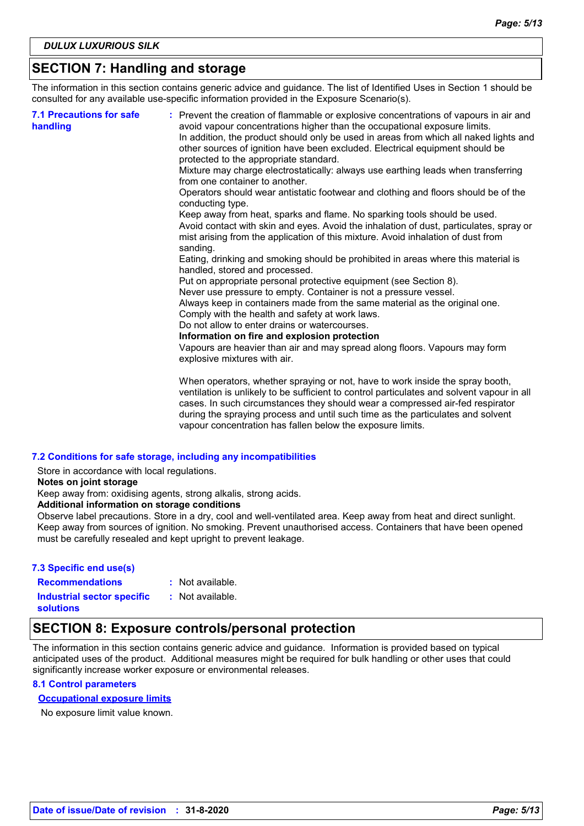# **SECTION 7: Handling and storage**

The information in this section contains generic advice and guidance. The list of Identified Uses in Section 1 should be consulted for any available use-specific information provided in the Exposure Scenario(s).

| <b>7.1 Precautions for safe</b><br>handling | : Prevent the creation of flammable or explosive concentrations of vapours in air and<br>avoid vapour concentrations higher than the occupational exposure limits.<br>In addition, the product should only be used in areas from which all naked lights and<br>other sources of ignition have been excluded. Electrical equipment should be<br>protected to the appropriate standard.<br>Mixture may charge electrostatically: always use earthing leads when transferring<br>from one container to another.<br>Operators should wear antistatic footwear and clothing and floors should be of the<br>conducting type.<br>Keep away from heat, sparks and flame. No sparking tools should be used.<br>Avoid contact with skin and eyes. Avoid the inhalation of dust, particulates, spray or<br>mist arising from the application of this mixture. Avoid inhalation of dust from<br>sanding.<br>Eating, drinking and smoking should be prohibited in areas where this material is<br>handled, stored and processed.<br>Put on appropriate personal protective equipment (see Section 8).<br>Never use pressure to empty. Container is not a pressure vessel.<br>Always keep in containers made from the same material as the original one.<br>Comply with the health and safety at work laws.<br>Do not allow to enter drains or watercourses.<br>Information on fire and explosion protection<br>Vapours are heavier than air and may spread along floors. Vapours may form<br>explosive mixtures with air. |
|---------------------------------------------|--------------------------------------------------------------------------------------------------------------------------------------------------------------------------------------------------------------------------------------------------------------------------------------------------------------------------------------------------------------------------------------------------------------------------------------------------------------------------------------------------------------------------------------------------------------------------------------------------------------------------------------------------------------------------------------------------------------------------------------------------------------------------------------------------------------------------------------------------------------------------------------------------------------------------------------------------------------------------------------------------------------------------------------------------------------------------------------------------------------------------------------------------------------------------------------------------------------------------------------------------------------------------------------------------------------------------------------------------------------------------------------------------------------------------------------------------------------------------------------------------------------|
|                                             | When operators, whether spraying or not, have to work inside the spray booth,<br>ventilation is unlikely to be sufficient to control particulates and solvent vapour in all                                                                                                                                                                                                                                                                                                                                                                                                                                                                                                                                                                                                                                                                                                                                                                                                                                                                                                                                                                                                                                                                                                                                                                                                                                                                                                                                  |

cases. In such circumstances they should wear a compressed air-fed respirator during the spraying process and until such time as the particulates and solvent vapour concentration has fallen below the exposure limits.

#### **7.2 Conditions for safe storage, including any incompatibilities**

Store in accordance with local regulations.

**Notes on joint storage**

Keep away from: oxidising agents, strong alkalis, strong acids.

#### **Additional information on storage conditions**

Observe label precautions. Store in a dry, cool and well-ventilated area. Keep away from heat and direct sunlight. Keep away from sources of ignition. No smoking. Prevent unauthorised access. Containers that have been opened must be carefully resealed and kept upright to prevent leakage.

#### **7.3 Specific end use(s)**

**Recommendations :**

: Not available.

**Industrial sector specific : solutions**

: Not available.

### **SECTION 8: Exposure controls/personal protection**

The information in this section contains generic advice and guidance. Information is provided based on typical anticipated uses of the product. Additional measures might be required for bulk handling or other uses that could significantly increase worker exposure or environmental releases.

#### **8.1 Control parameters**

#### **Occupational exposure limits**

No exposure limit value known.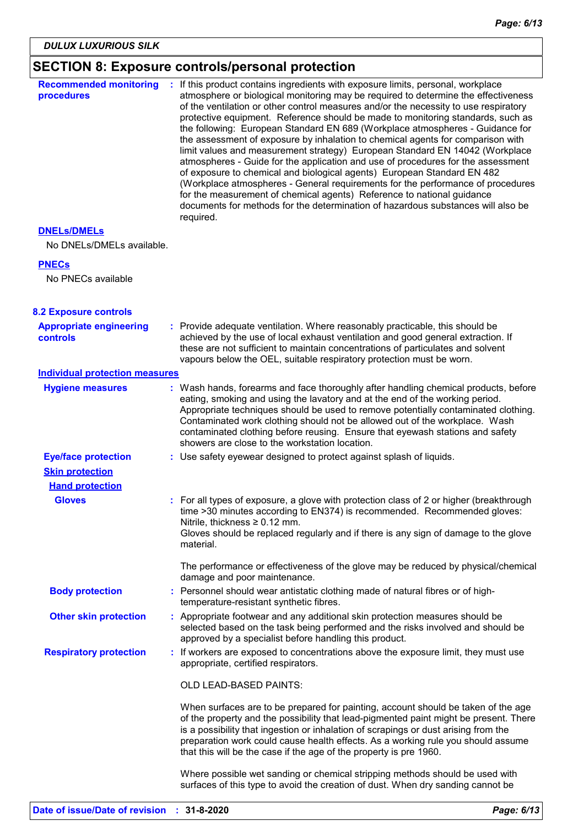# **SECTION 8: Exposure controls/personal protection**

| <b>Recommended monitoring</b><br>procedures | If this product contains ingredients with exposure limits, personal, workplace<br>atmosphere or biological monitoring may be required to determine the effectiveness<br>of the ventilation or other control measures and/or the necessity to use respiratory<br>protective equipment. Reference should be made to monitoring standards, such as<br>the following: European Standard EN 689 (Workplace atmospheres - Guidance for<br>the assessment of exposure by inhalation to chemical agents for comparison with<br>limit values and measurement strategy) European Standard EN 14042 (Workplace<br>atmospheres - Guide for the application and use of procedures for the assessment<br>of exposure to chemical and biological agents) European Standard EN 482<br>(Workplace atmospheres - General requirements for the performance of procedures<br>for the measurement of chemical agents) Reference to national guidance<br>documents for methods for the determination of hazardous substances will also be<br>required. |
|---------------------------------------------|----------------------------------------------------------------------------------------------------------------------------------------------------------------------------------------------------------------------------------------------------------------------------------------------------------------------------------------------------------------------------------------------------------------------------------------------------------------------------------------------------------------------------------------------------------------------------------------------------------------------------------------------------------------------------------------------------------------------------------------------------------------------------------------------------------------------------------------------------------------------------------------------------------------------------------------------------------------------------------------------------------------------------------|
| <b>DNELS/DMELS</b>                          |                                                                                                                                                                                                                                                                                                                                                                                                                                                                                                                                                                                                                                                                                                                                                                                                                                                                                                                                                                                                                                  |
| No DNELs/DMELs available.                   |                                                                                                                                                                                                                                                                                                                                                                                                                                                                                                                                                                                                                                                                                                                                                                                                                                                                                                                                                                                                                                  |
| <b>PNECs</b>                                |                                                                                                                                                                                                                                                                                                                                                                                                                                                                                                                                                                                                                                                                                                                                                                                                                                                                                                                                                                                                                                  |
| No PNECs available                          |                                                                                                                                                                                                                                                                                                                                                                                                                                                                                                                                                                                                                                                                                                                                                                                                                                                                                                                                                                                                                                  |
| <b>8.2 Exposure controls</b>                |                                                                                                                                                                                                                                                                                                                                                                                                                                                                                                                                                                                                                                                                                                                                                                                                                                                                                                                                                                                                                                  |
| <b>Appropriate engineering</b><br>controls  | : Provide adequate ventilation. Where reasonably practicable, this should be<br>achieved by the use of local exhaust ventilation and good general extraction. If<br>these are not sufficient to maintain concentrations of particulates and solvent<br>vapours below the OEL, suitable respiratory protection must be worn.                                                                                                                                                                                                                                                                                                                                                                                                                                                                                                                                                                                                                                                                                                      |
| <b>Individual protection measures</b>       |                                                                                                                                                                                                                                                                                                                                                                                                                                                                                                                                                                                                                                                                                                                                                                                                                                                                                                                                                                                                                                  |
| <b>Hygiene measures</b>                     | : Wash hands, forearms and face thoroughly after handling chemical products, before<br>eating, smoking and using the lavatory and at the end of the working period.<br>Appropriate techniques should be used to remove potentially contaminated clothing.<br>Contaminated work clothing should not be allowed out of the workplace. Wash<br>contaminated clothing before reusing. Ensure that eyewash stations and safety<br>showers are close to the workstation location.                                                                                                                                                                                                                                                                                                                                                                                                                                                                                                                                                      |
| <b>Eye/face protection</b>                  | : Use safety eyewear designed to protect against splash of liquids.                                                                                                                                                                                                                                                                                                                                                                                                                                                                                                                                                                                                                                                                                                                                                                                                                                                                                                                                                              |
| <b>Skin protection</b>                      |                                                                                                                                                                                                                                                                                                                                                                                                                                                                                                                                                                                                                                                                                                                                                                                                                                                                                                                                                                                                                                  |
| <b>Hand protection</b>                      |                                                                                                                                                                                                                                                                                                                                                                                                                                                                                                                                                                                                                                                                                                                                                                                                                                                                                                                                                                                                                                  |
| <b>Gloves</b>                               | : For all types of exposure, a glove with protection class of 2 or higher (breakthrough<br>time >30 minutes according to EN374) is recommended. Recommended gloves:<br>Nitrile, thickness $\geq 0.12$ mm.<br>Gloves should be replaced regularly and if there is any sign of damage to the glove<br>material.                                                                                                                                                                                                                                                                                                                                                                                                                                                                                                                                                                                                                                                                                                                    |
|                                             | The performance or effectiveness of the glove may be reduced by physical/chemical<br>damage and poor maintenance.                                                                                                                                                                                                                                                                                                                                                                                                                                                                                                                                                                                                                                                                                                                                                                                                                                                                                                                |
| <b>Body protection</b>                      | : Personnel should wear antistatic clothing made of natural fibres or of high-<br>temperature-resistant synthetic fibres.                                                                                                                                                                                                                                                                                                                                                                                                                                                                                                                                                                                                                                                                                                                                                                                                                                                                                                        |
| <b>Other skin protection</b>                | : Appropriate footwear and any additional skin protection measures should be<br>selected based on the task being performed and the risks involved and should be<br>approved by a specialist before handling this product.                                                                                                                                                                                                                                                                                                                                                                                                                                                                                                                                                                                                                                                                                                                                                                                                        |
| <b>Respiratory protection</b>               | : If workers are exposed to concentrations above the exposure limit, they must use<br>appropriate, certified respirators.                                                                                                                                                                                                                                                                                                                                                                                                                                                                                                                                                                                                                                                                                                                                                                                                                                                                                                        |
|                                             | OLD LEAD-BASED PAINTS:                                                                                                                                                                                                                                                                                                                                                                                                                                                                                                                                                                                                                                                                                                                                                                                                                                                                                                                                                                                                           |
|                                             | When surfaces are to be prepared for painting, account should be taken of the age<br>of the property and the possibility that lead-pigmented paint might be present. There<br>is a possibility that ingestion or inhalation of scrapings or dust arising from the<br>preparation work could cause health effects. As a working rule you should assume<br>that this will be the case if the age of the property is pre 1960.                                                                                                                                                                                                                                                                                                                                                                                                                                                                                                                                                                                                      |
|                                             | Where possible wet sanding or chemical stripping methods should be used with<br>surfaces of this type to avoid the creation of dust. When dry sanding cannot be                                                                                                                                                                                                                                                                                                                                                                                                                                                                                                                                                                                                                                                                                                                                                                                                                                                                  |
|                                             |                                                                                                                                                                                                                                                                                                                                                                                                                                                                                                                                                                                                                                                                                                                                                                                                                                                                                                                                                                                                                                  |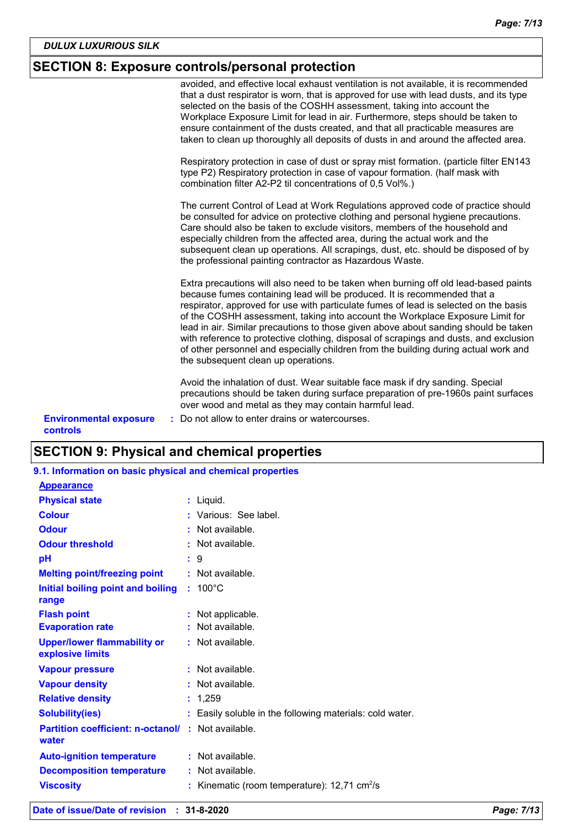# **SECTION 8: Exposure controls/personal protection**

|                                                  | avoided, and effective local exhaust ventilation is not available, it is recommended<br>that a dust respirator is worn, that is approved for use with lead dusts, and its type<br>selected on the basis of the COSHH assessment, taking into account the<br>Workplace Exposure Limit for lead in air. Furthermore, steps should be taken to<br>ensure containment of the dusts created, and that all practicable measures are<br>taken to clean up thoroughly all deposits of dusts in and around the affected area.                                                                                                                                   |
|--------------------------------------------------|--------------------------------------------------------------------------------------------------------------------------------------------------------------------------------------------------------------------------------------------------------------------------------------------------------------------------------------------------------------------------------------------------------------------------------------------------------------------------------------------------------------------------------------------------------------------------------------------------------------------------------------------------------|
|                                                  | Respiratory protection in case of dust or spray mist formation. (particle filter EN143<br>type P2) Respiratory protection in case of vapour formation. (half mask with<br>combination filter A2-P2 til concentrations of 0,5 Vol%.)                                                                                                                                                                                                                                                                                                                                                                                                                    |
|                                                  | The current Control of Lead at Work Regulations approved code of practice should<br>be consulted for advice on protective clothing and personal hygiene precautions.<br>Care should also be taken to exclude visitors, members of the household and<br>especially children from the affected area, during the actual work and the<br>subsequent clean up operations. All scrapings, dust, etc. should be disposed of by<br>the professional painting contractor as Hazardous Waste.                                                                                                                                                                    |
|                                                  | Extra precautions will also need to be taken when burning off old lead-based paints<br>because fumes containing lead will be produced. It is recommended that a<br>respirator, approved for use with particulate fumes of lead is selected on the basis<br>of the COSHH assessment, taking into account the Workplace Exposure Limit for<br>lead in air. Similar precautions to those given above about sanding should be taken<br>with reference to protective clothing, disposal of scrapings and dusts, and exclusion<br>of other personnel and especially children from the building during actual work and<br>the subsequent clean up operations. |
| <b>Environmental exposure</b><br><b>controls</b> | Avoid the inhalation of dust. Wear suitable face mask if dry sanding. Special<br>precautions should be taken during surface preparation of pre-1960s paint surfaces<br>over wood and metal as they may contain harmful lead.<br>: Do not allow to enter drains or watercourses.                                                                                                                                                                                                                                                                                                                                                                        |

# **SECTION 9: Physical and chemical properties**

|  |  |  | 9.1. Information on basic physical and chemical properties |  |
|--|--|--|------------------------------------------------------------|--|
|--|--|--|------------------------------------------------------------|--|

| <b>Appearance</b>                                      |                                                          |
|--------------------------------------------------------|----------------------------------------------------------|
| <b>Physical state</b>                                  | : Liquid.                                                |
| <b>Colour</b>                                          | : Various: See label.                                    |
| <b>Odour</b>                                           | : Not available.                                         |
| <b>Odour threshold</b>                                 | $\cdot$ Not available.                                   |
| рH                                                     | $\mathbf{.}9$                                            |
| <b>Melting point/freezing point</b>                    | $:$ Not available.                                       |
| Initial boiling point and boiling                      | $: 100^{\circ}$ C                                        |
| range                                                  |                                                          |
| <b>Flash point</b>                                     | : Not applicable.                                        |
| <b>Evaporation rate</b>                                | : Not available.                                         |
| <b>Upper/lower flammability or</b><br>explosive limits | $:$ Not available.                                       |
| <b>Vapour pressure</b>                                 | : Not available.                                         |
| <b>Vapour density</b>                                  | $:$ Not available.                                       |
| <b>Relative density</b>                                | : 1,259                                                  |
| <b>Solubility(ies)</b>                                 | Easily soluble in the following materials: cold water.   |
| <b>Partition coefficient: n-octanol/</b><br>water      | : Not available.                                         |
| <b>Auto-ignition temperature</b>                       | $:$ Not available.                                       |
| <b>Decomposition temperature</b>                       | $:$ Not available.                                       |
| <b>Viscosity</b>                                       | Kinematic (room temperature): $12,71$ cm <sup>2</sup> /s |
|                                                        |                                                          |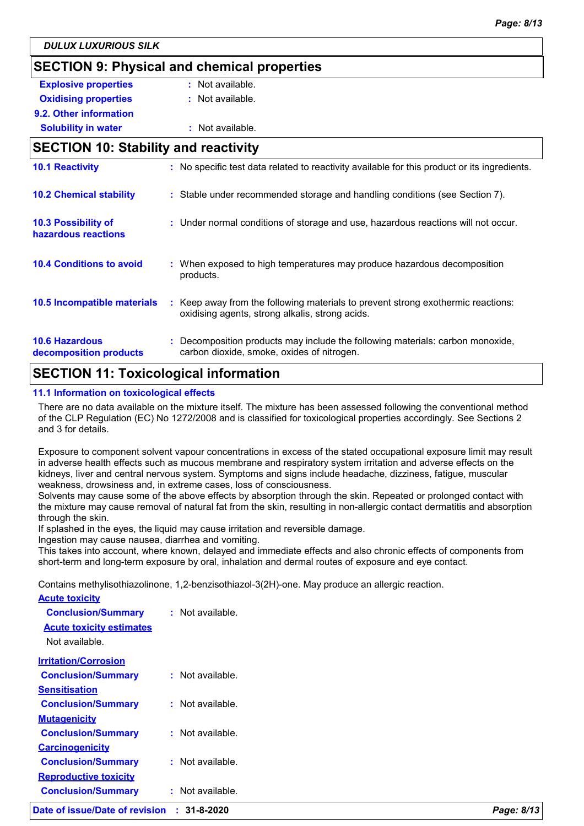# **SECTION 9: Physical and chemical properties Explosive properties :** Not available. **Oxidising properties : Not available. 9.2. Other information Solubility in water :** Not available. **SECTION 10: Stability and reactivity** Keep away from the following materials to prevent strong exothermic reactions: oxidising agents, strong alkalis, strong acids. **10.6 Hazardous decomposition products 10.4 Conditions to avoid conditional E** When exposed to high temperatures may produce hazardous decomposition products. **10.2 Chemical stability :** Stable under recommended storage and handling conditions (see Section 7). **:** Decomposition products may include the following materials: carbon monoxide, **10.5 Incompatible materials : 10.3 Possibility of hazardous reactions :** Under normal conditions of storage and use, hazardous reactions will not occur. **10.1 Reactivity :** No specific test data related to reactivity available for this product or its ingredients. carbon dioxide, smoke, oxides of nitrogen.

### **SECTION 11: Toxicological information**

#### **11.1 Information on toxicological effects**

There are no data available on the mixture itself. The mixture has been assessed following the conventional method of the CLP Regulation (EC) No 1272/2008 and is classified for toxicological properties accordingly. See Sections 2 and 3 for details.

Exposure to component solvent vapour concentrations in excess of the stated occupational exposure limit may result in adverse health effects such as mucous membrane and respiratory system irritation and adverse effects on the kidneys, liver and central nervous system. Symptoms and signs include headache, dizziness, fatigue, muscular weakness, drowsiness and, in extreme cases, loss of consciousness.

Solvents may cause some of the above effects by absorption through the skin. Repeated or prolonged contact with the mixture may cause removal of natural fat from the skin, resulting in non-allergic contact dermatitis and absorption through the skin.

If splashed in the eyes, the liquid may cause irritation and reversible damage.

Ingestion may cause nausea, diarrhea and vomiting.

This takes into account, where known, delayed and immediate effects and also chronic effects of components from short-term and long-term exposure by oral, inhalation and dermal routes of exposure and eye contact.

Contains methylisothiazolinone, 1,2-benzisothiazol-3(2H)-one. May produce an allergic reaction.

| Date of issue/Date of revision  | $: 31 - 8 - 2020$  | Page: 8/13 |
|---------------------------------|--------------------|------------|
| <b>Conclusion/Summary</b>       | : Not available.   |            |
| <b>Reproductive toxicity</b>    |                    |            |
| <b>Conclusion/Summary</b>       | : Not available.   |            |
| <b>Carcinogenicity</b>          |                    |            |
| <b>Conclusion/Summary</b>       | : Not available.   |            |
| <b>Mutagenicity</b>             |                    |            |
| <b>Conclusion/Summary</b>       | : Not available.   |            |
| <b>Sensitisation</b>            |                    |            |
| <b>Conclusion/Summary</b>       | $:$ Not available. |            |
| <b>Irritation/Corrosion</b>     |                    |            |
| Not available.                  |                    |            |
| <b>Acute toxicity estimates</b> |                    |            |
| <b>Conclusion/Summary</b>       | $:$ Not available. |            |
| <b>Acute toxicity</b>           |                    |            |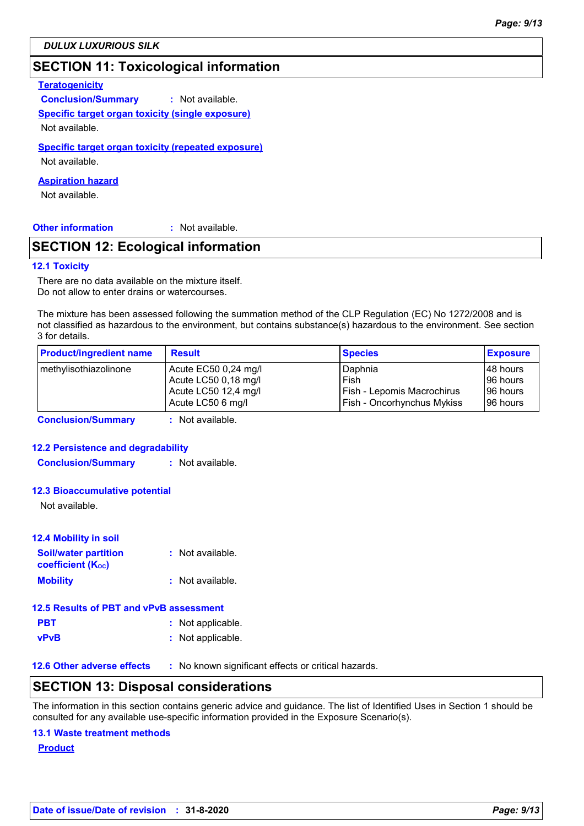# **SECTION 11: Toxicological information**

#### **Teratogenicity**

**Conclusion/Summary :** Not available. **Specific target organ toxicity (single exposure)** Not available.

# **Specific target organ toxicity (repeated exposure)**

Not available.

#### **Aspiration hazard**

Not available.

#### **Other information :**

: Not available.

# **SECTION 12: Ecological information**

#### **12.1 Toxicity**

There are no data available on the mixture itself. Do not allow to enter drains or watercourses.

The mixture has been assessed following the summation method of the CLP Regulation (EC) No 1272/2008 and is not classified as hazardous to the environment, but contains substance(s) hazardous to the environment. See section 3 for details.

| <b>Product/ingredient name</b> | <b>Result</b>        | <b>Species</b>                    | <b>Exposure</b> |
|--------------------------------|----------------------|-----------------------------------|-----------------|
| methylisothiazolinone          | Acute EC50 0,24 mg/l | Daphnia                           | 48 hours        |
|                                | Acute LC50 0,18 mg/l | Fish                              | 96 hours        |
|                                | Acute LC50 12,4 mg/l | Fish - Lepomis Macrochirus        | 196 hours       |
|                                | Acute LC50 6 mg/l    | <b>Fish - Oncorhynchus Mykiss</b> | 196 hours       |
|                                | .                    |                                   |                 |

**Conclusion/Summary :** Not available.

#### **12.2 Persistence and degradability**

**Conclusion/Summary :** Not available.

#### **12.3 Bioaccumulative potential**

Not available.

### **12.4 Mobility in soil**

| <b>Soil/water partition</b><br><b>coefficient (Koc)</b> | : Not available. |
|---------------------------------------------------------|------------------|
| <b>Mobility</b>                                         | : Not available. |

### **12.5 Results of PBT and vPvB assessment**

| <b>PBT</b>  | : Not applicable. |
|-------------|-------------------|
| <b>vPvB</b> | : Not applicable. |

**12.6 Other adverse effects** : No known significant effects or critical hazards.

### **SECTION 13: Disposal considerations**

The information in this section contains generic advice and guidance. The list of Identified Uses in Section 1 should be consulted for any available use-specific information provided in the Exposure Scenario(s).

#### **13.1 Waste treatment methods**

**Product**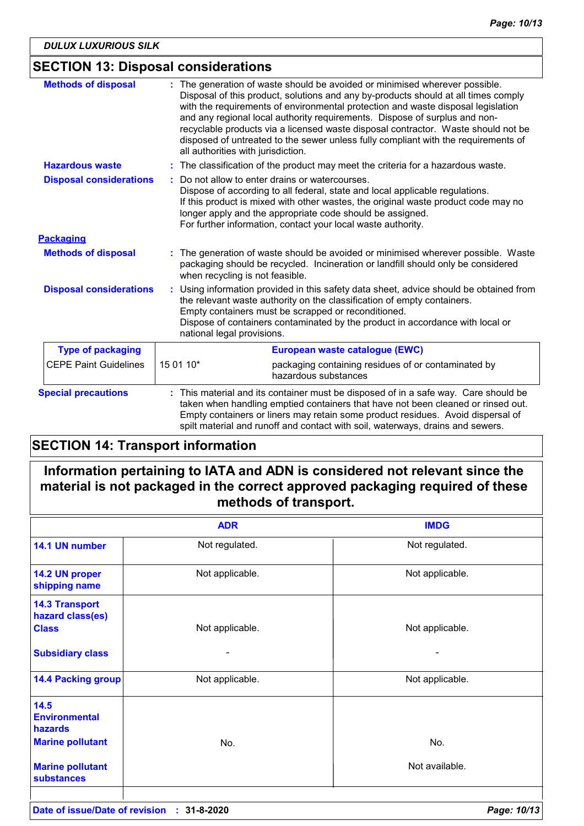# **SECTION 13: Disposal considerations**

| <b>Methods of disposal</b>     | The generation of waste should be avoided or minimised wherever possible.<br>Disposal of this product, solutions and any by-products should at all times comply<br>with the requirements of environmental protection and waste disposal legislation<br>and any regional local authority requirements. Dispose of surplus and non-<br>recyclable products via a licensed waste disposal contractor. Waste should not be<br>disposed of untreated to the sewer unless fully compliant with the requirements of<br>all authorities with jurisdiction. |  |
|--------------------------------|----------------------------------------------------------------------------------------------------------------------------------------------------------------------------------------------------------------------------------------------------------------------------------------------------------------------------------------------------------------------------------------------------------------------------------------------------------------------------------------------------------------------------------------------------|--|
| <b>Hazardous waste</b>         | : The classification of the product may meet the criteria for a hazardous waste.                                                                                                                                                                                                                                                                                                                                                                                                                                                                   |  |
| <b>Disposal considerations</b> | Do not allow to enter drains or watercourses.<br>Dispose of according to all federal, state and local applicable regulations.<br>If this product is mixed with other wastes, the original waste product code may no<br>longer apply and the appropriate code should be assigned.<br>For further information, contact your local waste authority.                                                                                                                                                                                                   |  |
| <b>Packaging</b>               |                                                                                                                                                                                                                                                                                                                                                                                                                                                                                                                                                    |  |
| <b>Methods of disposal</b>     | The generation of waste should be avoided or minimised wherever possible. Waste<br>packaging should be recycled. Incineration or landfill should only be considered<br>when recycling is not feasible.                                                                                                                                                                                                                                                                                                                                             |  |
| <b>Disposal considerations</b> | Using information provided in this safety data sheet, advice should be obtained from<br>the relevant waste authority on the classification of empty containers.<br>Empty containers must be scrapped or reconditioned.<br>Dispose of containers contaminated by the product in accordance with local or<br>national legal provisions.                                                                                                                                                                                                              |  |
| <b>Type of packaging</b>       | European waste catalogue (EWC)                                                                                                                                                                                                                                                                                                                                                                                                                                                                                                                     |  |
| <b>CEPE Paint Guidelines</b>   | 15 01 10*<br>packaging containing residues of or contaminated by<br>hazardous substances                                                                                                                                                                                                                                                                                                                                                                                                                                                           |  |
| <b>Special precautions</b>     | This material and its container must be disposed of in a safe way. Care should be<br>taken when handling emptied containers that have not been cleaned or rinsed out.<br>Empty containers or liners may retain some product residues. Avoid dispersal of<br>spilt material and runoff and contact with soil, waterways, drains and sewers.                                                                                                                                                                                                         |  |

# **SECTION 14: Transport information**

# **Information pertaining to IATA and ADN is considered not relevant since the material is not packaged in the correct approved packaging required of these methods of transport.**

|                                                           | <b>ADR</b>      | <b>IMDG</b>     |
|-----------------------------------------------------------|-----------------|-----------------|
| 14.1 UN number                                            | Not regulated.  | Not regulated.  |
| 14.2 UN proper<br>shipping name                           | Not applicable. | Not applicable. |
| <b>14.3 Transport</b><br>hazard class(es)<br><b>Class</b> | Not applicable. | Not applicable. |
| <b>Subsidiary class</b>                                   |                 |                 |
| <b>14.4 Packing group</b>                                 | Not applicable. | Not applicable. |
| 14.5<br><b>Environmental</b><br>hazards                   |                 |                 |
| <b>Marine pollutant</b>                                   | No.             | No.             |
| <b>Marine pollutant</b><br>substances                     |                 | Not available.  |
|                                                           |                 |                 |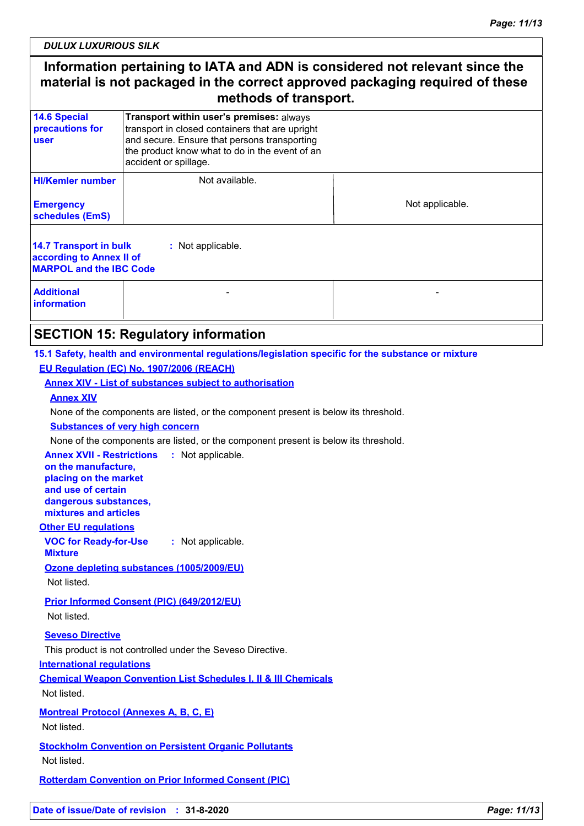*DULUX LUXURIOUS SILK*

# **Information pertaining to IATA and ADN is considered not relevant since the material is not packaged in the correct approved packaging required of these methods of transport.**

| <b>14.6 Special</b><br>precautions for<br>user                                                            | Transport within user's premises: always<br>transport in closed containers that are upright<br>and secure. Ensure that persons transporting<br>the product know what to do in the event of an<br>accident or spillage. |                 |  |  |  |
|-----------------------------------------------------------------------------------------------------------|------------------------------------------------------------------------------------------------------------------------------------------------------------------------------------------------------------------------|-----------------|--|--|--|
| <b>HI/Kemler number</b><br><b>Emergency</b><br>schedules (EmS)                                            | Not available.                                                                                                                                                                                                         | Not applicable. |  |  |  |
| 14.7 Transport in bulk<br>: Not applicable.<br>according to Annex II of<br><b>MARPOL and the IBC Code</b> |                                                                                                                                                                                                                        |                 |  |  |  |
| <b>Additional</b><br><i>information</i>                                                                   |                                                                                                                                                                                                                        |                 |  |  |  |

### **SECTION 15: Regulatory information**

#### **15.1 Safety, health and environmental regulations/legislation specific for the substance or mixture EU Regulation (EC) No. 1907/2006 (REACH)**

#### **Annex XIV - List of substances subject to authorisation**

#### **Annex XIV**

None of the components are listed, or the component present is below its threshold.

#### **Substances of very high concern**

None of the components are listed, or the component present is below its threshold.

**Annex XVII - Restrictions :** Not applicable.

**on the manufacture, placing on the market and use of certain dangerous substances, mixtures and articles**

#### **Other EU regulations**

**VOC for Ready-for-Use Mixture :** Not applicable.

#### **Ozone depleting substances (1005/2009/EU)**

Not listed.

**Prior Informed Consent (PIC) (649/2012/EU)** Not listed.

# **Seveso Directive**

This product is not controlled under the Seveso Directive.

#### **International regulations**

**Chemical Weapon Convention List Schedules I, II & III Chemicals** Not listed.

**Montreal Protocol (Annexes A, B, C, E)** Not listed.

**Stockholm Convention on Persistent Organic Pollutants** Not listed.

**Rotterdam Convention on Prior Informed Consent (PIC)**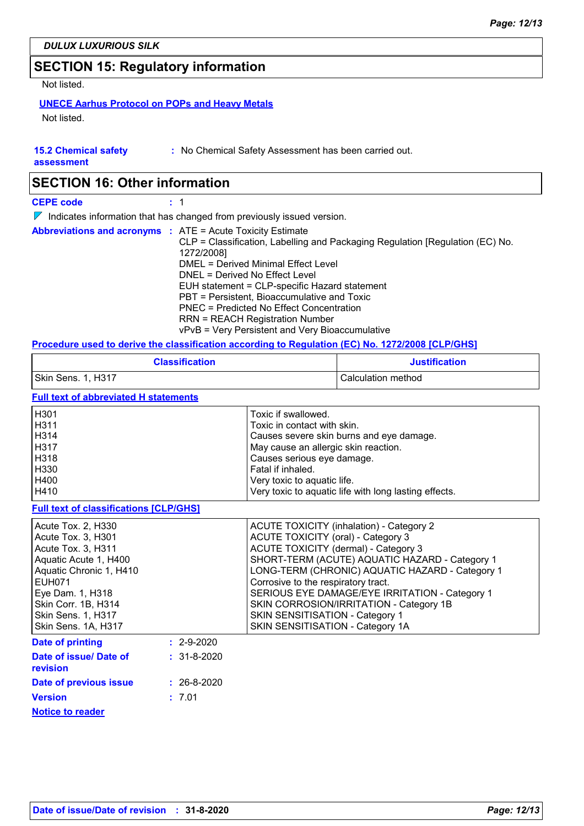# **SECTION 15: Regulatory information**

Not listed.

### **UNECE Aarhus Protocol on POPs and Heavy Metals**

Not listed.

|  |  | <b>15.2 Chemical safety</b> |  |
|--|--|-----------------------------|--|
|  |  |                             |  |

**:** No Chemical Safety Assessment has been carried out.

**assessment**

# **SECTION 16: Other information**

**CEPE code :** 1

 $\nabla$  Indicates information that has changed from previously issued version.

|  | <b>Abbreviations and acronyms : ATE = Acute Toxicity Estimate</b><br>CLP = Classification, Labelling and Packaging Regulation [Regulation (EC) No.<br>1272/2008]<br>DMEL = Derived Minimal Effect Level<br>DNEL = Derived No Effect Level |
|--|-------------------------------------------------------------------------------------------------------------------------------------------------------------------------------------------------------------------------------------------|
|  | EUH statement = CLP-specific Hazard statement<br>PBT = Persistent, Bioaccumulative and Toxic<br>PNEC = Predicted No Effect Concentration<br><b>RRN = REACH Registration Number</b><br>vPvB = Very Persistent and Very Bioaccumulative     |

### **Procedure used to derive the classification according to Regulation (EC) No. 1272/2008 [CLP/GHS]**

|                                                                                                                                                                                                                             | <b>Classification</b> |                                                                                                                                                                                                                                                                                   | <b>Justification</b>                                                                                                                                                                                                                              |
|-----------------------------------------------------------------------------------------------------------------------------------------------------------------------------------------------------------------------------|-----------------------|-----------------------------------------------------------------------------------------------------------------------------------------------------------------------------------------------------------------------------------------------------------------------------------|---------------------------------------------------------------------------------------------------------------------------------------------------------------------------------------------------------------------------------------------------|
| Skin Sens. 1, H317                                                                                                                                                                                                          |                       |                                                                                                                                                                                                                                                                                   | Calculation method                                                                                                                                                                                                                                |
| <b>Full text of abbreviated H statements</b>                                                                                                                                                                                |                       |                                                                                                                                                                                                                                                                                   |                                                                                                                                                                                                                                                   |
| H301<br>H311<br>H314<br>H317<br>H318<br>H330<br>H400<br>H410                                                                                                                                                                |                       | Toxic if swallowed.<br>Toxic in contact with skin.<br>Causes severe skin burns and eye damage.<br>May cause an allergic skin reaction.<br>Causes serious eye damage.<br>Fatal if inhaled.<br>Very toxic to aquatic life.<br>Very toxic to aquatic life with long lasting effects. |                                                                                                                                                                                                                                                   |
| <b>Full text of classifications [CLP/GHS]</b>                                                                                                                                                                               |                       |                                                                                                                                                                                                                                                                                   |                                                                                                                                                                                                                                                   |
| Acute Tox. 2, H330<br>Acute Tox. 3, H301<br>Acute Tox. 3, H311<br>Aquatic Acute 1, H400<br>Aquatic Chronic 1, H410<br><b>EUH071</b><br>Eye Dam. 1, H318<br>Skin Corr. 1B, H314<br>Skin Sens. 1, H317<br>Skin Sens. 1A, H317 |                       | <b>ACUTE TOXICITY (oral) - Category 3</b><br>ACUTE TOXICITY (dermal) - Category 3<br>Corrosive to the respiratory tract.<br>SKIN SENSITISATION - Category 1<br>SKIN SENSITISATION - Category 1A                                                                                   | <b>ACUTE TOXICITY (inhalation) - Category 2</b><br>SHORT-TERM (ACUTE) AQUATIC HAZARD - Category 1<br>LONG-TERM (CHRONIC) AQUATIC HAZARD - Category 1<br>SERIOUS EYE DAMAGE/EYE IRRITATION - Category 1<br>SKIN CORROSION/IRRITATION - Category 1B |
| <b>Date of printing</b>                                                                                                                                                                                                     | $: 2 - 9 - 2020$      |                                                                                                                                                                                                                                                                                   |                                                                                                                                                                                                                                                   |
| Date of issue/ Date of<br>revision                                                                                                                                                                                          | $: 31 - 8 - 2020$     |                                                                                                                                                                                                                                                                                   |                                                                                                                                                                                                                                                   |
| Date of previous issue                                                                                                                                                                                                      | $: 26 - 8 - 2020$     |                                                                                                                                                                                                                                                                                   |                                                                                                                                                                                                                                                   |
| <b>Version</b>                                                                                                                                                                                                              | : 7.01                |                                                                                                                                                                                                                                                                                   |                                                                                                                                                                                                                                                   |
| <b>Notice to reader</b>                                                                                                                                                                                                     |                       |                                                                                                                                                                                                                                                                                   |                                                                                                                                                                                                                                                   |